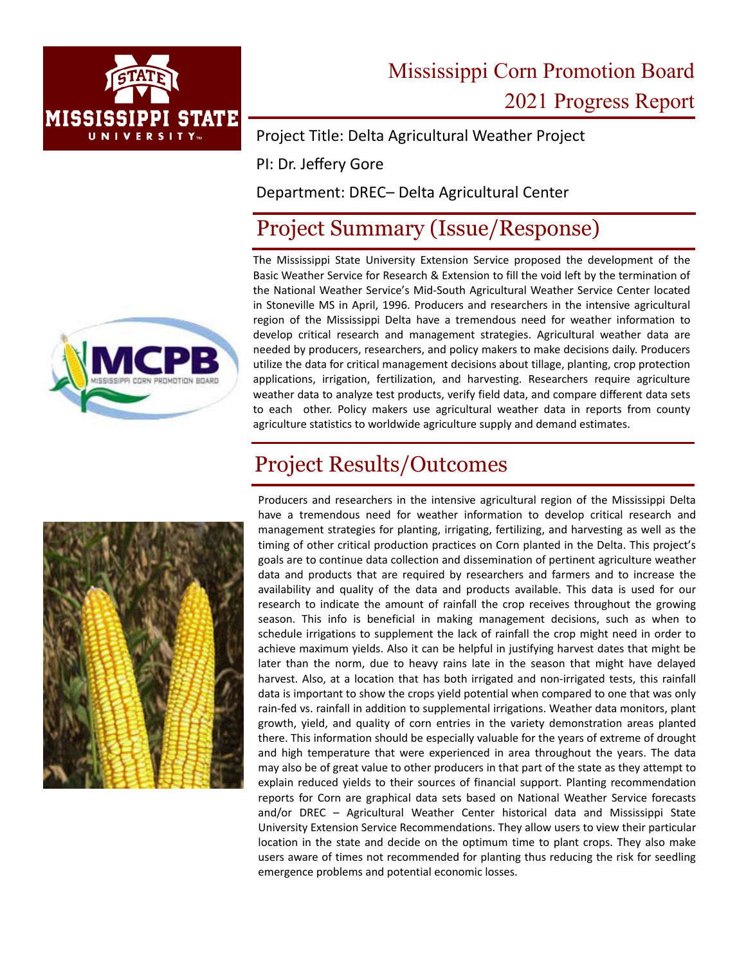

# Mississippi Corn Promotion Board 2021 Progress Report

Project Title: Delta Agricultural Weather Project

PI: Dr. Jeffery Gore

Department: DREC– Delta Agricultural Center

#### Project Summary (Issue/Response)

The Mississippi State University Extension Service proposed the development of the Basic Weather Service for Research & Extension to fill the void left by the termination of the National Weather Service's Mid‐South Agricultural Weather Service Center located in Stoneville MS in April, 1996. Producers and researchers in the intensive agricultural region of the Mississippi Delta have a tremendous need for weather information to develop critical research and management strategies. Agricultural weather data are needed by producers, researchers, and policy makers to make decisions daily. Producers utilize the data for critical management decisions about tillage, planting, crop protection applications, irrigation, fertilization, and harvesting. Researchers require agriculture weather data to analyze test products, verify field data, and compare different data sets to each other. Policy makers use agricultural weather data in reports from county agriculture statistics to worldwide agriculture supply and demand estimates.

### Project Results/Outcomes



Producers and researchers in the intensive agricultural region of the Mississippi Delta have a tremendous need for weather information to develop critical research and management strategies for planting, irrigating, fertilizing, and harvesting as well as the timing of other critical production practices on Corn planted in the Delta. This project's goals are to continue data collection and dissemination of pertinent agriculture weather data and products that are required by researchers and farmers and to increase the availability and quality of the data and products available. This data is used for our research to indicate the amount of rainfall the crop receives throughout the growing season. This info is beneficial in making management decisions, such as when to schedule irrigations to supplement the lack of rainfall the crop might need in order to achieve maximum yields. Also it can be helpful in justifying harvest dates that might be later than the norm, due to heavy rains late in the season that might have delayed harvest. Also, at a location that has both irrigated and non-irrigated tests, this rainfall data is important to show the crops yield potential when compared to one that was only rain‐fed vs. rainfall in addition to supplemental irrigations. Weather data monitors, plant growth, yield, and quality of corn entries in the variety demonstration areas planted there. This information should be especially valuable for the years of extreme of drought and high temperature that were experienced in area throughout the years. The data may also be of great value to other producers in that part of the state as they attempt to explain reduced yields to their sources of financial support. Planting recommendation reports for Corn are graphical data sets based on National Weather Service forecasts and/or DREC – Agricultural Weather Center historical data and Mississippi State University Extension Service Recommendations. They allow users to view their particular location in the state and decide on the optimum time to plant crops. They also make users aware of times not recommended for planting thus reducing the risk for seedling emergence problems and potential economic losses.